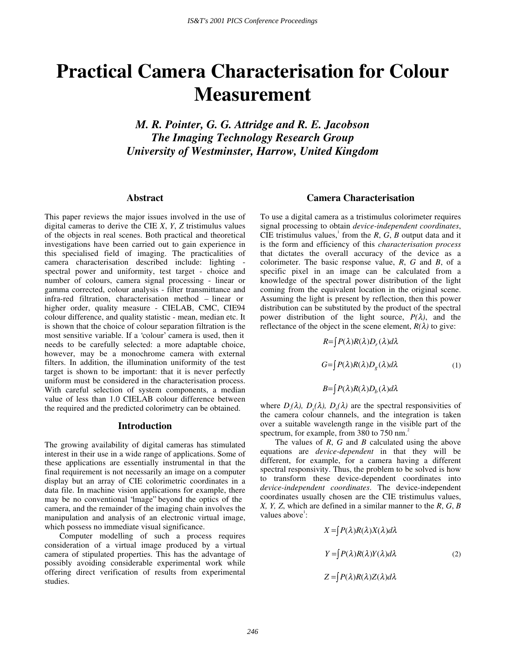# **Practical Camera Characterisation for Colour Measurement**

*M. R. Pointer, G. G. Attridge and R. E. Jacobson The Imaging Technology Research Group University of Westminster, Harrow, United Kingdom* 

#### **Abstract**

This paper reviews the major issues involved in the use of digital cameras to derive the CIE *X*, *Y*, *Z* tristimulus values of the objects in real scenes. Both practical and theoretical investigations have been carried out to gain experience in this specialised field of imaging. The practicalities of camera characterisation described include: lighting spectral power and uniformity, test target - choice and number of colours, camera signal processing - linear or gamma corrected, colour analysis - filter transmittance and infra-red filtration, characterisation method – linear or higher order, quality measure - CIELAB, CMC, CIE94 colour difference, and quality statistic - mean, median etc. It is shown that the choice of colour separation filtration is the most sensitive variable. If a 'colour' camera is used, then it needs to be carefully selected: a more adaptable choice, however, may be a monochrome camera with external filters. In addition, the illumination uniformity of the test target is shown to be important: that it is never perfectly uniform must be considered in the characterisation process. With careful selection of system components, a median value of less than 1.0 CIELAB colour difference between the required and the predicted colorimetry can be obtained.

## **Introduction**

The growing availability of digital cameras has stimulated interest in their use in a wide range of applications. Some of these applications are essentially instrumental in that the final requirement is not necessarily an image on a computer display but an array of CIE colorimetric coordinates in a data file. In machine vision applications for example, there may be no conventional "image" beyond the optics of the camera, and the remainder of the imaging chain involves the manipulation and analysis of an electronic virtual image, which possess no immediate visual significance.

Computer modelling of such a process requires consideration of a virtual image produced by a virtual camera of stipulated properties. This has the advantage of possibly avoiding considerable experimental work while offering direct verification of results from experimental studies.

## **Camera Characterisation**

To use a digital camera as a tristimulus colorimeter requires signal processing to obtain *device-independent coordinates*, CIE tristimulus values,<sup>1</sup> from the  $R$ ,  $G$ ,  $B$  output data and it is the form and efficiency of this *characterisation process*  that dictates the overall accuracy of the device as a colorimeter. The basic response value, *R*, *G* and *B*, of a specific pixel in an image can be calculated from a knowledge of the spectral power distribution of the light coming from the equivalent location in the original scene. Assuming the light is present by reflection, then this power distribution can be substituted by the product of the spectral power distribution of the light source,  $P(\lambda)$ , and the reflectance of the object in the scene element,  $R(\lambda)$  to give:

$$
R = \int P(\lambda)R(\lambda)D_r(\lambda)d\lambda
$$
  
\n
$$
G = \int P(\lambda)R(\lambda)D_g(\lambda)d\lambda
$$
 (1)  
\n
$$
B = \int P(\lambda)R(\lambda)D_b(\lambda)d\lambda
$$

where  $D_{\mu}(\lambda)$ ,  $D_{g}(\lambda)$ ,  $D_{b}(\lambda)$  are the spectral responsivities of the camera colour channels, and the integration is taken over a suitable wavelength range in the visible part of the spectrum, for example, from 380 to 750 nm.<sup>2</sup>

The values of *R*, *G* and *B* calculated using the above equations are *device-dependent* in that they will be different, for example, for a camera having a different spectral responsivity. Thus, the problem to be solved is how to transform these device-dependent coordinates into *device-independent coordinates*. The device-independent coordinates usually chosen are the CIE tristimulus values, *X, Y, Z*, which are defined in a similar manner to the *R*, *G*, *B* values above<sup>1</sup>:

$$
X = \int P(\lambda)R(\lambda)X(\lambda)d\lambda
$$
  
\n
$$
Y = \int P(\lambda)R(\lambda)Y(\lambda)d\lambda
$$
 (2)  
\n
$$
Z = \int P(\lambda)R(\lambda)Z(\lambda)d\lambda
$$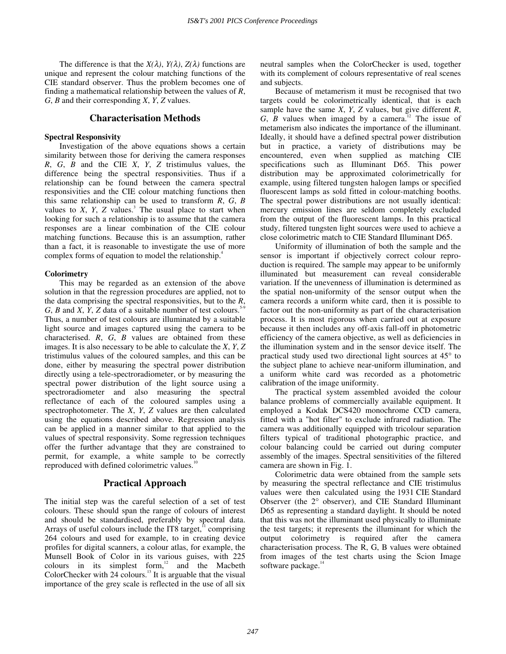The difference is that the  $X(\lambda)$ ,  $Y(\lambda)$ ,  $Z(\lambda)$  functions are unique and represent the colour matching functions of the CIE standard observer. Thus the problem becomes one of finding a mathematical relationship between the values of *R*, *G*, *B* and their corresponding *X*, *Y*, *Z* values.

## **Characterisation Methods**

#### **Spectral Responsivity**

Investigation of the above equations shows a certain similarity between those for deriving the camera responses *R*, *G*, *B* and the CIE *X*, *Y*, *Z* tristimulus values, the difference being the spectral responsivities. Thus if a relationship can be found between the camera spectral responsivities and the CIE colour matching functions then this same relationship can be used to transform *R*, *G*, *B* values to  $X$ ,  $Y$ ,  $Z$  values.<sup>3</sup> The usual place to start when looking for such a relationship is to assume that the camera responses are a linear combination of the CIE colour matching functions. Because this is an assumption, rather than a fact, it is reasonable to investigate the use of more complex forms of equation to model the relationship.<sup>4</sup>

#### **Colorimetry**

This may be regarded as an extension of the above solution in that the regression procedures are applied, not to the data comprising the spectral responsivities, but to the *R*, *G*, *B* and *X*, *Y*, *Z* data of a suitable number of test colours.<sup>5-9</sup> Thus, a number of test colours are illuminated by a suitable light source and images captured using the camera to be characterised. *R*, *G*, *B* values are obtained from these images. It is also necessary to be able to calculate the *X*, *Y*, *Z* tristimulus values of the coloured samples, and this can be done, either by measuring the spectral power distribution directly using a tele-spectroradiometer, or by measuring the spectral power distribution of the light source using a spectroradiometer and also measuring the spectral reflectance of each of the coloured samples using a spectrophotometer. The *X*, *Y*, *Z* values are then calculated using the equations described above. Regression analysis can be applied in a manner similar to that applied to the values of spectral responsivity. Some regression techniques offer the further advantage that they are constrained to permit, for example, a white sample to be correctly reproduced with defined colorimetric values.<sup>1</sup>

### **Practical Approach**

The initial step was the careful selection of a set of test colours. These should span the range of colours of interest and should be standardised, preferably by spectral data. Arrays of useful colours include the IT8 target, $\cdot$  comprising 264 colours and used for example, to in creating device profiles for digital scanners, a colour atlas, for example, the Munsell Book of Color in its various guises, with 225 colours in its simplest form, $^{12}$  and the Macbeth ColorChecker with  $24$  colours.<sup>13</sup> It is arguable that the visual importance of the grey scale is reflected in the use of all six

neutral samples when the ColorChecker is used, together with its complement of colours representative of real scenes and subjects.

Because of metamerism it must be recognised that two targets could be colorimetrically identical, that is each sample have the same *X*, *Y*, *Z* values, but give different *R*, *G*,  $\overline{B}$  values when imaged by a camera.<sup>12</sup> The issue of metamerism also indicates the importance of the illuminant. Ideally, it should have a defined spectral power distribution but in practice, a variety of distributions may be encountered, even when supplied as matching CIE specifications such as Illuminant D65. This power distribution may be approximated colorimetrically for example, using filtered tungsten halogen lamps or specified fluorescent lamps as sold fitted in colour-matching booths. The spectral power distributions are not usually identical: mercury emission lines are seldom completely excluded from the output of the fluorescent lamps. In this practical study, filtered tungsten light sources were used to achieve a close colorimetric match to CIE Standard Illuminant D65.

Uniformity of illumination of both the sample and the sensor is important if objectively correct colour reproduction is required. The sample may appear to be uniformly illuminated but measurement can reveal considerable variation. If the unevenness of illumination is determined as the spatial non-uniformity of the sensor output when the camera records a uniform white card, then it is possible to factor out the non-uniformity as part of the characterisation process. It is most rigorous when carried out at exposure because it then includes any off-axis fall-off in photometric efficiency of the camera objective, as well as deficiencies in the illumination system and in the sensor device itself. The practical study used two directional light sources at 45° to the subject plane to achieve near-uniform illumination, and a uniform white card was recorded as a photometric calibration of the image uniformity.

The practical system assembled avoided the colour balance problems of commercially available equipment. It employed a Kodak DCS420 monochrome CCD camera, fitted with a "hot filter" to exclude infrared radiation. The camera was additionally equipped with tricolour separation filters typical of traditional photographic practice, and colour balancing could be carried out during computer assembly of the images. Spectral sensitivities of the filtered camera are shown in Fig. 1.

Colorimetric data were obtained from the sample sets by measuring the spectral reflectance and CIE tristimulus values were then calculated using the 1931 CIE Standard Observer (the 2° observer), and CIE Standard Illuminant D65 as representing a standard daylight. It should be noted that this was not the illuminant used physically to illuminate the test targets; it represents the illuminant for which the output colorimetry is required after the camera characterisation process. The R, G, B values were obtained from images of the test charts using the Scion Image software package.<sup>14</sup>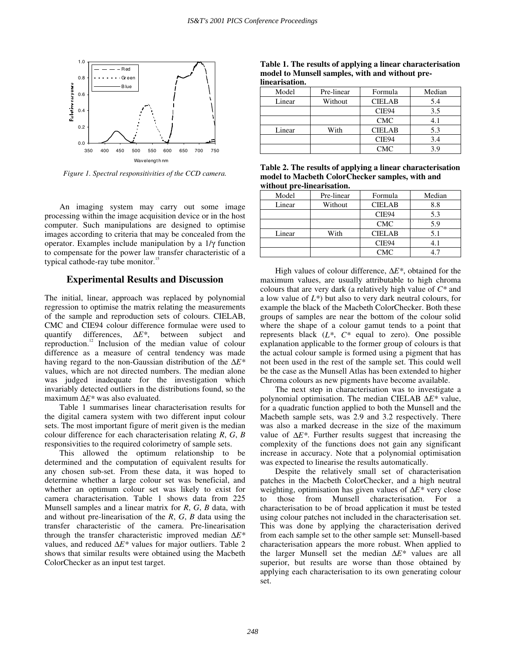

*Figure 1. Spectral responsitivities of the CCD camera.* 

An imaging system may carry out some image processing within the image acquisition device or in the host computer. Such manipulations are designed to optimise images according to criteria that may be concealed from the operator. Examples include manipulation by a 1/γ function to compensate for the power law transfer characteristic of a typical cathode-ray tube monitor.<sup>1</sup>

## **Experimental Results and Discussion**

The initial, linear, approach was replaced by polynomial regression to optimise the matrix relating the measurements of the sample and reproduction sets of colours. CIELAB, CMC and CIE94 colour difference formulae were used to quantify differences, ∆*E\**, between subject and reproduction.12 Inclusion of the median value of colour difference as a measure of central tendency was made having regard to the non-Gaussian distribution of the ∆*E\** values, which are not directed numbers. The median alone was judged inadequate for the investigation which invariably detected outliers in the distributions found, so the maximum ∆*E\** was also evaluated.

Table 1 summarises linear characterisation results for the digital camera system with two different input colour sets. The most important figure of merit given is the median colour difference for each characterisation relating *R*, *G*, *B* responsivities to the required colorimetry of sample sets.

This allowed the optimum relationship to be determined and the computation of equivalent results for any chosen sub-set. From these data, it was hoped to determine whether a large colour set was beneficial, and whether an optimum colour set was likely to exist for camera characterisation. Table 1 shows data from 225 Munsell samples and a linear matrix for *R*, *G*, *B* data, with and without pre-linearisation of the *R*, *G*, *B* data using the transfer characteristic of the camera. Pre-linearisation through the transfer characteristic improved median ∆*E\** values, and reduced ∆*E\** values for major outliers. Table 2 shows that similar results were obtained using the Macbeth ColorChecker as an input test target.

**Table 1. The results of applying a linear characterisation model to Munsell samples, with and without prelinearisation.** 

| muan bautun |            |               |        |
|-------------|------------|---------------|--------|
| Model       | Pre-linear | Formula       | Median |
| Linear      | Without    | <b>CIELAB</b> | 5.4    |
|             |            | CIE94         | 3.5    |
|             |            | <b>CMC</b>    | 4.1    |
| Linear      | With       | <b>CIELAB</b> | 5.3    |
|             |            | CIE94         | 3.4    |
|             |            | CMC           | 3.9    |

**Table 2. The results of applying a linear characterisation model to Macbeth ColorChecker samples, with and without pre-linearisation.**

| Model  | Pre-linear | Formula       | Median |
|--------|------------|---------------|--------|
| Linear | Without    | <b>CIELAB</b> | 8.8    |
|        |            | CIE94         | 5.3    |
|        |            | <b>CMC</b>    | 5.9    |
| Linear | With       | <b>CIELAB</b> | 5.1    |
|        |            | CIE94         | 4.1    |
|        |            | CMC           |        |

High values of colour difference, ∆*E\**, obtained for the maximum values, are usually attributable to high chroma colours that are very dark (a relatively high value of *C\** and a low value of *L\**) but also to very dark neutral colours, for example the black of the Macbeth ColorChecker. Both these groups of samples are near the bottom of the colour solid where the shape of a colour gamut tends to a point that represents black (*L\**, *C\** equal to zero). One possible explanation applicable to the former group of colours is that the actual colour sample is formed using a pigment that has not been used in the rest of the sample set. This could well be the case as the Munsell Atlas has been extended to higher Chroma colours as new pigments have become available.

The next step in characterisation was to investigate a polynomial optimisation. The median CIELAB ∆*E\** value, for a quadratic function applied to both the Munsell and the Macbeth sample sets, was 2.9 and 3.2 respectively. There was also a marked decrease in the size of the maximum value of ∆*E\**. Further results suggest that increasing the complexity of the functions does not gain any significant increase in accuracy. Note that a polynomial optimisation was expected to linearise the results automatically.

Despite the relatively small set of characterisation patches in the Macbeth ColorChecker, and a high neutral weighting, optimisation has given values of ∆*E\** very close those from Munsell characterisation. For a characterisation to be of broad application it must be tested using colour patches not included in the characterisation set. This was done by applying the characterisation derived from each sample set to the other sample set: Munsell-based characterisation appears the more robust. When applied to the larger Munsell set the median ∆*E\** values are all superior, but results are worse than those obtained by applying each characterisation to its own generating colour set.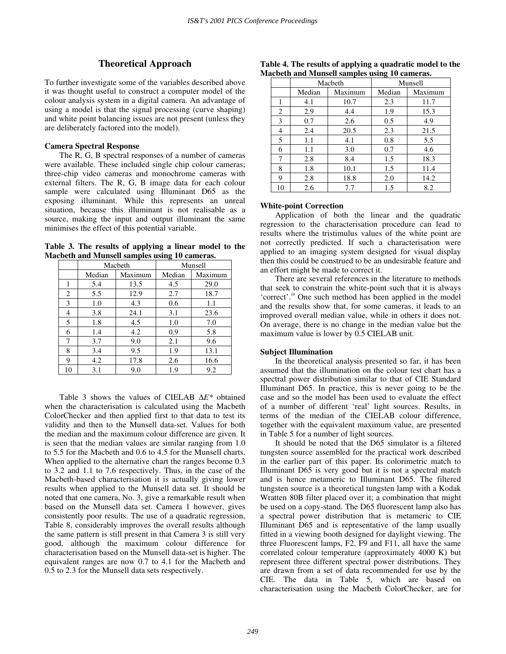## **Theoretical Approach**

To further investigate some of the variables described above it was thought useful to construct a computer model of the colour analysis system in a digital camera. An advantage of using a model is that the signal processing (curve shaping) and white point balancing issues are not present (unless they are deliberately factored into the model).

#### **Camera Spectral Response**

The R, G, B spectral responses of a number of cameras were available. These included single chip colour cameras; three-chip video cameras and monochrome cameras with external filters. The R, G, B image data for each colour sample were calculated using Illuminant D65 as the exposing illuminant. While this represents an unreal situation, because this illuminant is not realisable as a source, making the input and output illuminant the same minimises the effect of this potential variable.

**Table 3. The results of applying a linear model to the Macbeth and Munsell samples using 10 cameras.** 

|    | Macbeth |         | Munsell |         |
|----|---------|---------|---------|---------|
|    | Median  | Maximum | Median  | Maximum |
| 1  | 5.4     | 13.5    | 4.5     | 29.0    |
| 2  | 5.5     | 12.9    | 2.7     | 18.7    |
| 3  | 1.0     | 4.3     | 0.6     | 1.1     |
| 4  | 3.8     | 24.1    | 3.1     | 23.6    |
| 5  | 1.8     | 4.5     | 1.0     | 7.0     |
| 6  | 1.4     | 4.2     | 0.9     | 5.8     |
| 7  | 3.7     | 9.0     | 2.1     | 9.6     |
| 8  | 3.4     | 9.5     | 1.9     | 13.1    |
| 9  | 4.2     | 17.8    | 2.6     | 16.6    |
| 10 | 3.1     | 9.0     | 1.9     | 9.2     |

Table 3 shows the values of CIELAB ∆*E\** obtained when the characterisation is calculated using the Macbeth ColorChecker and then applied first to that data to test its validity and then to the Munsell data-set. Values for both the median and the maximum colour difference are given. It is seen that the median values are similar ranging from 1.0 to 5.5 for the Macbeth and 0.6 to 4.5 for the Munsell charts. When applied to the alternative chart the ranges become 0.3 to 3.2 and 1.1 to 7.6 respectively. Thus, in the case of the Macbeth-based characterisation it is actually giving lower results when applied to the Munsell data set. It should be noted that one camera, No. 3, give a remarkable result when based on the Munsell data set. Camera 1 however, gives consistently poor results. The use of a quadratic regression, Table 8, considerably improves the overall results although the same pattern is still present in that Camera 3 is still very good, although the maximum colour difference for characterisation based on the Munsell data-set is higher. The equivalent ranges are now 0.7 to 4.1 for the Macbeth and 0.5 to 2.3 for the Munsell data sets respectively.

| acocin and mansen samples using to cameras. |         |         |         |         |
|---------------------------------------------|---------|---------|---------|---------|
|                                             | Macbeth |         | Munsell |         |
|                                             | Median  | Maximum | Median  | Maximum |
|                                             | 4.1     | 10.7    | 2.3     | 11.7    |
| 2                                           | 2.9     | 4.4     | 1.9     | 15.3    |
| 3                                           | 0.7     | 2.6     | 0.5     | 4.9     |
| 4                                           | 2.4     | 20.5    | 2.3     | 21.5    |
| 5                                           | 1.1     | 4.1     | 0.8     | 5.5     |
| 6                                           | 1.1     | 3.0     | 0.7     | 4.6     |
| 7                                           | 2.8     | 8.4     | 1.5     | 18.3    |
| 8                                           | 1.8     | 10.1    | 1.5     | 11.4    |
| 9                                           | 2.8     | 18.8    | 2.0     | 14.2    |
| 10                                          | 2.6     | 7.7     | 1.5     | 8.2     |

**Table 4. The results of applying a quadratic model to the Macbeth and Munsell samples using 10 cameras.**

#### **White-point Correction**

Application of both the linear and the quadratic regression to the characterisation procedure can lead to results where the tristimulus values of the white point are not correctly predicted. If such a characterisation were applied to an imaging system designed for visual display then this could be construed to be an undesirable feature and an effort might be made to correct it.

There are several references in the literature to methods that seek to constrain the white-point such that it is always 'correct'.<sup>10</sup> One such method has been applied in the model and the results show that, for some cameras, it leads to an improved overall median value, while in others it does not. On average, there is no change in the median value but the maximum value is lower by 0.5 CIELAB unit.

#### **Subject Illumination**

In the theoretical analysis presented so far, it has been assumed that the illumination on the colour test chart has a spectral power distribution similar to that of CIE Standard Illuminant D65. In practice, this is never going to be the case and so the model has been used to evaluate the effect of a number of different 'real' light sources. Results, in terms of the median of the CIELAB colour difference, together with the equivalent maximum value, are presented in Table 5 for a number of light sources.

It should be noted that the D65 simulator is a filtered tungsten source assembled for the practical work described in the earlier part of this paper. Its colorimetric match to Illuminant D65 is very good but it is not a spectral match and is hence metameric to Illuminant D65. The filtered tungsten source is a theoretical tungsten lamp with a Kodak Wratten 80B filter placed over it; a combination that might be used on a copy-stand. The D65 fluorescent lamp also has a spectral power distribution that is metameric to CIE Illuminant D65 and is representative of the lamp usually fitted in a viewing booth designed for daylight viewing. The three Fluorescent lamps, F2, F9 and F11, all have the same correlated colour temperature (approximately 4000 K) but represent three different spectral power distributions. They are drawn from a set of data recommended for use by the CIE. The data in Table 5, which are based on characterisation using the Macbeth ColorChecker, are for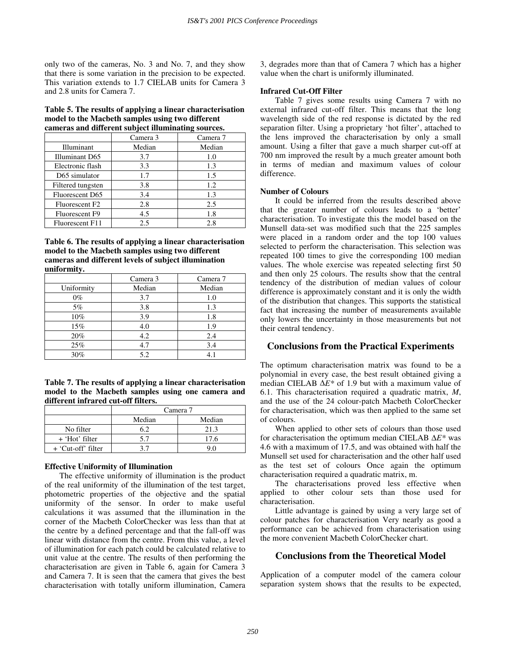only two of the cameras, No. 3 and No. 7, and they show that there is some variation in the precision to be expected. This variation extends to 1.7 CIELAB units for Camera 3 and 2.8 units for Camera 7.

## **Table 5. The results of applying a linear characterisation model to the Macbeth samples using two different cameras and different subject illuminating sources.**

|                            | Camera 3 | Camera 7 |
|----------------------------|----------|----------|
| Illuminant                 | Median   | Median   |
| Illuminant D65             | 3.7      | 1.0      |
| Electronic flash           | 3.3      | 1.3      |
| D65 simulator              | 1.7      | 1.5      |
| Filtered tungsten          | 3.8      | 1.2      |
| Fluorescent D65            | 3.4      | 1.3      |
| Fluorescent F <sub>2</sub> | 2.8      | 2.5      |
| Fluorescent F9             | 4.5      | 1.8      |
| Fluorescent F11            | 2.5      | 2.8      |

**Table 6. The results of applying a linear characterisation model to the Macbeth samples using two different cameras and different levels of subject illumination uniformity.** 

|            | Camera 3 | Camera 7 |
|------------|----------|----------|
| Uniformity | Median   | Median   |
| $0\%$      | 3.7      | 1.0      |
| $5\%$      | 3.8      | 1.3      |
| 10%        | 3.9      | 1.8      |
| 15%        | 4.0      | 1.9      |
| 20%        | 4.2      | 2.4      |
| 25%        | 4.7      | 3.4      |
| 30%        | 5.2      |          |

**Table 7. The results of applying a linear characterisation model to the Macbeth samples using one camera and different infrared cut-off filters.**

|                    | Camera 7 |        |  |
|--------------------|----------|--------|--|
|                    | Median   | Median |  |
| No filter          | 6.2      | 21.3   |  |
| + 'Hot' filter     | 5.7      | 17.6   |  |
| + 'Cut-off' filter |          |        |  |

## **Effective Uniformity of Illumination**

The effective uniformity of illumination is the product of the real uniformity of the illumination of the test target, photometric properties of the objective and the spatial uniformity of the sensor. In order to make useful calculations it was assumed that the illumination in the corner of the Macbeth ColorChecker was less than that at the centre by a defined percentage and that the fall-off was linear with distance from the centre. From this value, a level of illumination for each patch could be calculated relative to unit value at the centre. The results of then performing the characterisation are given in Table 6, again for Camera 3 and Camera 7. It is seen that the camera that gives the best characterisation with totally uniform illumination, Camera 3, degrades more than that of Camera 7 which has a higher value when the chart is uniformly illuminated.

## **Infrared Cut-Off Filter**

Table 7 gives some results using Camera 7 with no external infrared cut-off filter. This means that the long wavelength side of the red response is dictated by the red separation filter. Using a proprietary 'hot filter', attached to the lens improved the characterisation by only a small amount. Using a filter that gave a much sharper cut-off at 700 nm improved the result by a much greater amount both in terms of median and maximum values of colour difference.

## **Number of Colours**

It could be inferred from the results described above that the greater number of colours leads to a 'better' characterisation. To investigate this the model based on the Munsell data-set was modified such that the 225 samples were placed in a random order and the top 100 values selected to perform the characterisation. This selection was repeated 100 times to give the corresponding 100 median values. The whole exercise was repeated selecting first 50 and then only 25 colours. The results show that the central tendency of the distribution of median values of colour difference is approximately constant and it is only the width of the distribution that changes. This supports the statistical fact that increasing the number of measurements available only lowers the uncertainty in those measurements but not their central tendency.

# **Conclusions from the Practical Experiments**

The optimum characterisation matrix was found to be a polynomial in every case, the best result obtained giving a median CIELAB ∆*E\** of 1.9 but with a maximum value of 6.1. This characterisation required a quadratic matrix, *M*, and the use of the 24 colour-patch Macbeth ColorChecker for characterisation, which was then applied to the same set of colours.

When applied to other sets of colours than those used for characterisation the optimum median CIELAB ∆*E\** was 4.6 with a maximum of 17.5, and was obtained with half the Munsell set used for characterisation and the other half used as the test set of colours Once again the optimum characterisation required a quadratic matrix, m.

The characterisations proved less effective when applied to other colour sets than those used for characterisation.

Little advantage is gained by using a very large set of colour patches for characterisation Very nearly as good a performance can be achieved from characterisation using the more convenient Macbeth ColorChecker chart.

# **Conclusions from the Theoretical Model**

Application of a computer model of the camera colour separation system shows that the results to be expected,